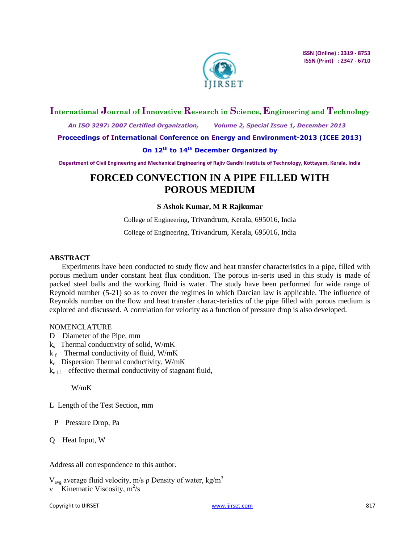

## **International Journal of Innovative Research in Science, Engineering and Technology**

 *An ISO 3297: 2007 Certified Organization, Volume 2, Special Issue 1, December 2013*

**Proceedings of International Conference on Energy and Environment-2013 (ICEE 2013)**

## **On 12th to 14th December Organized by**

**Department of Civil Engineering and Mechanical Engineering of Rajiv Gandhi Institute of Technology, Kottayam, Kerala, India**

# **FORCED CONVECTION IN A PIPE FILLED WITH POROUS MEDIUM**

## **S Ashok Kumar, M R Rajkumar**

College of Engineering, Trivandrum, Kerala, 695016, India

College of Engineering, Trivandrum, Kerala, 695016, India

## **ABSTRACT**

Experiments have been conducted to study flow and heat transfer characteristics in a pipe, filled with porous medium under constant heat flux condition. The porous in-serts used in this study is made of packed steel balls and the working fluid is water. The study have been performed for wide range of Reynold number (5-21) so as to cover the regimes in which Darcian law is applicable. The influence of Reynolds number on the flow and heat transfer charac-teristics of the pipe filled with porous medium is explored and discussed. A correlation for velocity as a function of pressure drop is also developed.

## NOMENCLATURE

- D Diameter of the Pipe, mm
- ks Thermal conductivity of solid, W/mK
- $k_f$  Thermal conductivity of fluid, W/mK
- $k_d$  Dispersion Thermal conductivity, W/mK
- $k_{eff}$  effective thermal conductivity of stagnant fluid,

W/mK

L Length of the Test Section, mm

- P Pressure Drop, Pa
- Q Heat Input, W

Address all correspondence to this author.

 $V<sub>avg</sub>$  average fluid velocity, m/s ρ Density of water, kg/m<sup>3</sup>

v Kinematic Viscosity,  $m^2/s$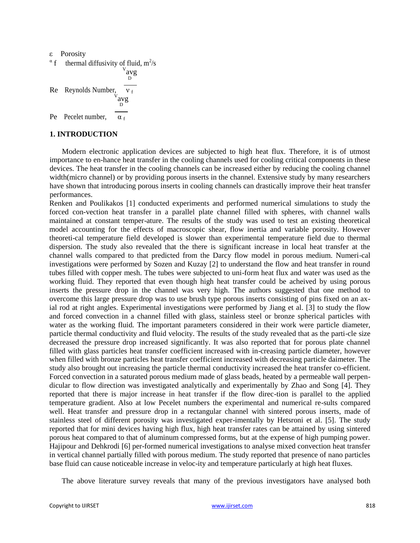ε Porosity

$$
\alpha f
$$
 thermal diffusivity of fluid, m<sup>2</sup>/s  
\n
$$
\alpha \alpha y
$$
\nRe  
\nRe  
\nRe  
\nRe  
\n
$$
\alpha y
$$
\n
$$
\alpha f
$$
\n
$$
\alpha f
$$
\n
$$
\alpha f
$$

## **1. INTRODUCTION**

Modern electronic application devices are subjected to high heat flux. Therefore, it is of utmost importance to en-hance heat transfer in the cooling channels used for cooling critical components in these devices. The heat transfer in the cooling channels can be increased either by reducing the cooling channel width(micro channel) or by providing porous inserts in the channel. Extensive study by many researchers have shown that introducing porous inserts in cooling channels can drastically improve their heat transfer performances.

Renken and Poulikakos [1] conducted experiments and performed numerical simulations to study the forced con-vection heat transfer in a parallel plate channel filled with spheres, with channel walls maintained at constant temper-ature. The results of the study was used to test an existing theoretical model accounting for the effects of macroscopic shear, flow inertia and variable porosity. However theoreti-cal temperature field developed is slower than experimental temperature field due to thermal dispersion. The study also revealed that the there is significant increase in local heat transfer at the channel walls compared to that predicted from the Darcy flow model in porous medium. Numeri-cal investigations were performed by Sozen and Kuzay [2] to understand the flow and heat transfer in round tubes filled with copper mesh. The tubes were subjected to uni-form heat flux and water was used as the working fluid. They reported that even though high heat transfer could be acheived by using porous inserts the pressure drop in the channel was very high. The authors suggested that one method to overcome this large pressure drop was to use brush type porous inserts consisting of pins fixed on an axial rod at right angles. Experimental investigations were performed by Jiang et al. [3] to study the flow and forced convection in a channel filled with glass, stainless steel or bronze spherical particles with water as the working fluid. The important parameters considered in their work were particle diameter, particle thermal conductivity and fluid velocity. The results of the study revealed that as the parti-cle size decreased the pressure drop increased significantly. It was also reported that for porous plate channel filled with glass particles heat transfer coefficient increased with in-creasing particle diameter, however when filled with bronze particles heat transfer coefficient increased with decreasing particle daimeter. The study also brought out increasing the particle thermal conductivity increased the heat transfer co-efficient. Forced convection in a saturated porous medium made of glass beads, heated by a permeable wall perpendicular to flow direction was investigated analytically and experimentally by Zhao and Song [4]. They reported that there is major increase in heat transfer if the flow direc-tion is parallel to the applied temperature gradient. Also at low Pecelet numbers the experimental and numerical re-sults compared well. Heat transfer and pressure drop in a rectangular channel with sintered porous inserts, made of stainless steel of different porosity was investigated exper-imentally by Hetsroni et al. [5]. The study reported that for mini devices having high flux, high heat transfer rates can be attained by using sintered porous heat compared to that of aluminum compressed forms, but at the expense of high pumping power. Hajipour and Dehkrodi [6] per-formed numerical investigations to analyse mixed convection heat transfer in vertical channel partially filled with porous medium. The study reported that presence of nano particles base fluid can cause noticeable increase in veloc-ity and temperature particularly at high heat fluxes.

The above literature survey reveals that many of the previous investigators have analysed both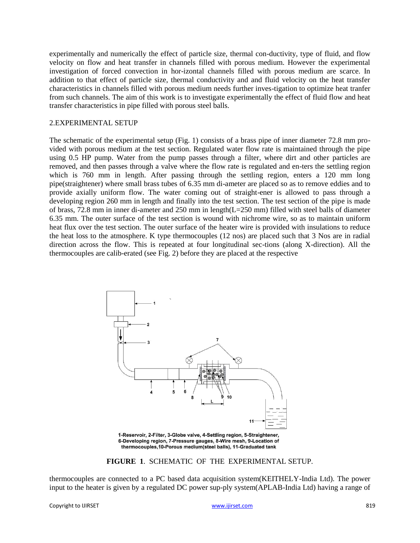experimentally and numerically the effect of particle size, thermal con-ductivity, type of fluid, and flow velocity on flow and heat transfer in channels filled with porous medium. However the experimental investigation of forced convection in hor-izontal channels filled with porous medium are scarce. In addition to that effect of particle size, thermal conductivity and and fluid velocity on the heat transfer characteristics in channels filled with porous medium needs further inves-tigation to optimize heat tranfer from such channels. The aim of this work is to investigate experimentally the effect of fluid flow and heat transfer characteristics in pipe filled with porous steel balls.

#### 2.EXPERIMENTAL SETUP

The schematic of the experimental setup (Fig. 1) consists of a brass pipe of inner diameter 72.8 mm provided with porous medium at the test section. Regulated water flow rate is maintained through the pipe using 0.5 HP pump. Water from the pump passes through a filter, where dirt and other particles are removed, and then passes through a valve where the flow rate is regulated and en-ters the settling region which is 760 mm in length. After passing through the settling region, enters a 120 mm long pipe(straightener) where small brass tubes of 6.35 mm di-ameter are placed so as to remove eddies and to provide axially uniform flow. The water coming out of straight-ener is allowed to pass through a developing region 260 mm in length and finally into the test section. The test section of the pipe is made of brass, 72.8 mm in inner di-ameter and 250 mm in length(L=250 mm) filled with steel balls of diameter 6.35 mm. The outer surface of the test section is wound with nichrome wire, so as to maintain uniform heat flux over the test section. The outer surface of the heater wire is provided with insulations to reduce the heat loss to the atmosphere. K type thermocouples (12 nos) are placed such that 3 Nos are in radial direction across the flow. This is repeated at four longitudinal sec-tions (along X-direction). All the thermocouples are calib-erated (see Fig. 2) before they are placed at the respective



1-Reservoir, 2-Filter, 3-Globe valve, 4-Settling region, 5-Straightener, 6-Developing region, 7-Pressure gauges, 8-Wire mesh, 9-Location of thermocouples, 10-Porous medium(steel balls), 11-Graduated tank

#### **FIGURE 1**. SCHEMATIC OF THE EXPERIMENTAL SETUP.

thermocouples are connected to a PC based data acquisition system(KEITHELY-India Ltd). The power input to the heater is given by a regulated DC power sup-ply system(APLAB-India Ltd) having a range of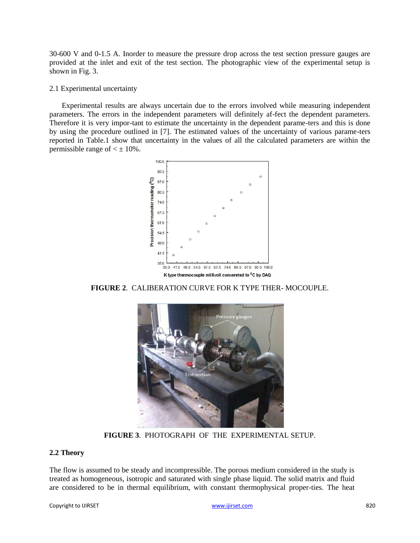30-600 V and 0-1.5 A. Inorder to measure the pressure drop across the test section pressure gauges are provided at the inlet and exit of the test section. The photographic view of the experimental setup is shown in Fig. 3.

### 2.1 Experimental uncertainty

Experimental results are always uncertain due to the errors involved while measuring independent parameters. The errors in the independent parameters will definitely af-fect the dependent parameters. Therefore it is very impor-tant to estimate the uncertainty in the dependent parame-ters and this is done by using the procedure outlined in [7]. The estimated values of the uncertainty of various parame-ters reported in Table.1 show that uncertainty in the values of all the calculated parameters are within the permissible range of  $\lt \pm 10\%$ .



**FIGURE 2**. CALIBERATION CURVE FOR K TYPE THER- MOCOUPLE.



**FIGURE 3**. PHOTOGRAPH OF THE EXPERIMENTAL SETUP.

## **2.2 Theory**

The flow is assumed to be steady and incompressible. The porous medium considered in the study is treated as homogeneous, isotropic and saturated with single phase liquid. The solid matrix and fluid are considered to be in thermal equilibrium, with constant thermophysical proper-ties. The heat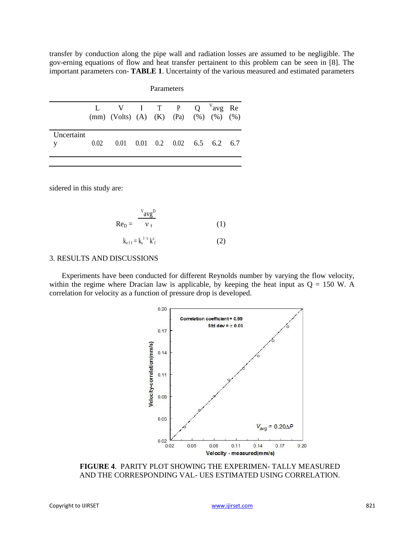transfer by conduction along the pipe wall and radiation losses are assumed to be negligible. The gov-erning equations of flow and heat transfer pertainent to this problem can be seen in [8]. The important parameters con- **TABLE 1**. Uncertainty of the various measured and estimated parameters

|                   |      | L V I T P Q $V$ avg Re<br>(mm) (Volts) (A) (K) (Pa) (%) (%) (%) |  |  |  |
|-------------------|------|-----------------------------------------------------------------|--|--|--|
| Uncertaint<br>y — | 0.02 | $0.01$ $0.01$ $0.2$ $0.02$ $6.5$ $6.2$ $6.7$                    |  |  |  |

Parameters

sidered in this study are:

$$
ReD = \frac{v_{avg}D}{v_f}
$$
 (1)  

$$
k_{eff} = k_s^{1-\epsilon} k_f^{\epsilon}
$$
 (2)

#### 3. RESULTS AND DISCUSSIONS

Experiments have been conducted for different Reynolds number by varying the flow velocity, within the regime where Dracian law is applicable, by keeping the heat input as  $Q = 150$  W. A correlation for velocity as a function of pressure drop is developed.



**FIGURE 4**. PARITY PLOT SHOWING THE EXPERIMEN- TALLY MEASURED AND THE CORRESPONDING VAL- UES ESTIMATED USING CORRELATION.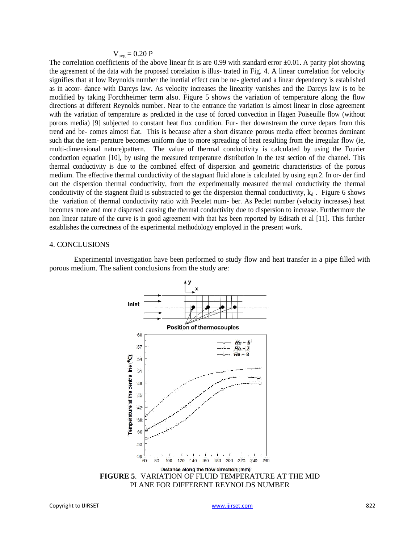#### $V_{\text{avg}} = 0.20 \text{ P}$

The correlation coefficients of the above linear fit is are 0.99 with standard error  $\pm 0.01$ . A parity plot showing the agreement of the data with the proposed correlation is illus- trated in Fig. 4. A linear correlation for velocity signifies that at low Reynolds number the inertial effect can be ne- glected and a linear dependency is established as in accor- dance with Darcys law. As velocity increases the linearity vanishes and the Darcys law is to be modified by taking Forchheimer term also. Figure 5 shows the variation of temperature along the flow directions at different Reynolds number. Near to the entrance the variation is almost linear in close agreement with the variation of temperature as predicted in the case of forced convection in Hagen Poiseuille flow (without porous media) [9] subjected to constant heat flux condition. Fur- ther downstream the curve depars from this trend and be- comes almost flat. This is because after a short distance porous media effect becomes dominant such that the tem- perature becomes uniform due to more spreading of heat resulting from the irregular flow (ie, multi-dimensional nature)pattern. The value of thermal conductivity is calculated by using the Fourier conduction equation [10], by using the measured temperature distribution in the test section of the channel. This thermal conductivity is due to the combined effect of dispersion and geometric characteristics of the porous medium. The effective thermal conductivity of the stagnant fluid alone is calculated by using eqn.2. In or- der find out the dispersion thermal conductivity, from the experimentally measured thermal conductivity the thermal condcutivity of the stagnent fluid is substracted to get the dispersion thermal conductivity,  $k_d$ . Figure 6 shows the variation of thermal conductivity ratio with Pecelet num- ber. As Peclet number (velocity increases) heat becomes more and more dispersed causing the thermal conductivity due to dispersion to increase. Furthermore the non linear nature of the curve is in good agreement with that has been reported by Edisath et al [11]. This further establishes the correctness of the experimental methodology employed in the present work.

#### 4. CONCLUSIONS

Experimental investigation have been performed to study flow and heat transfer in a pipe filled with porous medium. The salient conclusions from the study are:



**FIGURE 5**. VARIATION OF FLUID TEMPERATURE AT THE MID PLANE FOR DIFFERENT REYNOLDS NUMBER